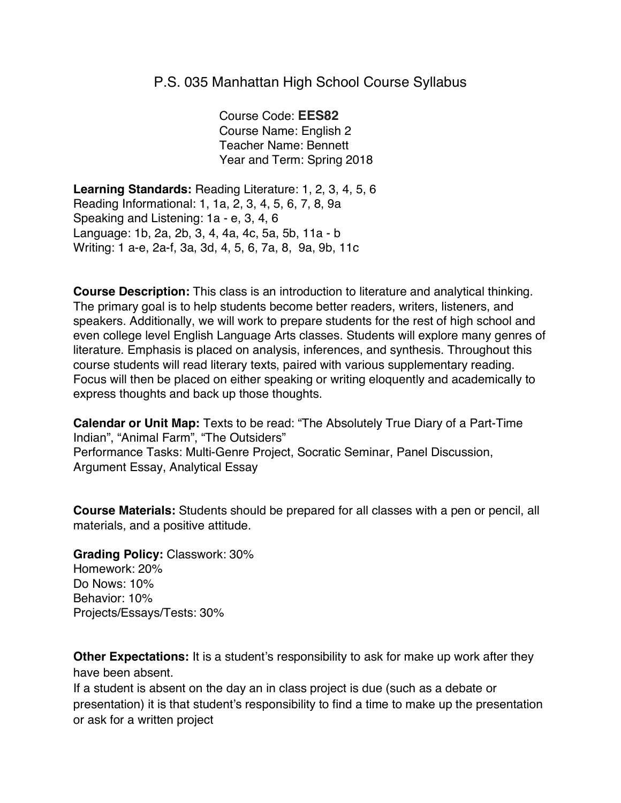## P.S. 035 Manhattan High School Course Syllabus

Course Code: **EES82** Course Name: English 2 Teacher Name: Bennett Year and Term: Spring 2018

**Learning Standards:** Reading Literature: 1, 2, 3, 4, 5, 6 Reading Informational: 1, 1a, 2, 3, 4, 5, 6, 7, 8, 9a Speaking and Listening: 1a - e, 3, 4, 6 Language: 1b, 2a, 2b, 3, 4, 4a, 4c, 5a, 5b, 11a - b Writing: 1 a-e, 2a-f, 3a, 3d, 4, 5, 6, 7a, 8, 9a, 9b, 11c

**Course Description:** This class is an introduction to literature and analytical thinking. The primary goal is to help students become better readers, writers, listeners, and speakers. Additionally, we will work to prepare students for the rest of high school and even college level English Language Arts classes. Students will explore many genres of literature. Emphasis is placed on analysis, inferences, and synthesis. Throughout this course students will read literary texts, paired with various supplementary reading. Focus will then be placed on either speaking or writing eloquently and academically to express thoughts and back up those thoughts.

**Calendar or Unit Map:** Texts to be read: "The Absolutely True Diary of a Part-Time Indian", "Animal Farm", "The Outsiders" Performance Tasks: Multi-Genre Project, Socratic Seminar, Panel Discussion, Argument Essay, Analytical Essay

**Course Materials:** Students should be prepared for all classes with a pen or pencil, all materials, and a positive attitude.

**Grading Policy:** Classwork: 30% Homework: 20% Do Nows: 10% Behavior: 10% Projects/Essays/Tests: 30%

**Other Expectations:** It is a student's responsibility to ask for make up work after they have been absent.

If a student is absent on the day an in class project is due (such as a debate or presentation) it is that student's responsibility to find a time to make up the presentation or ask for a written project